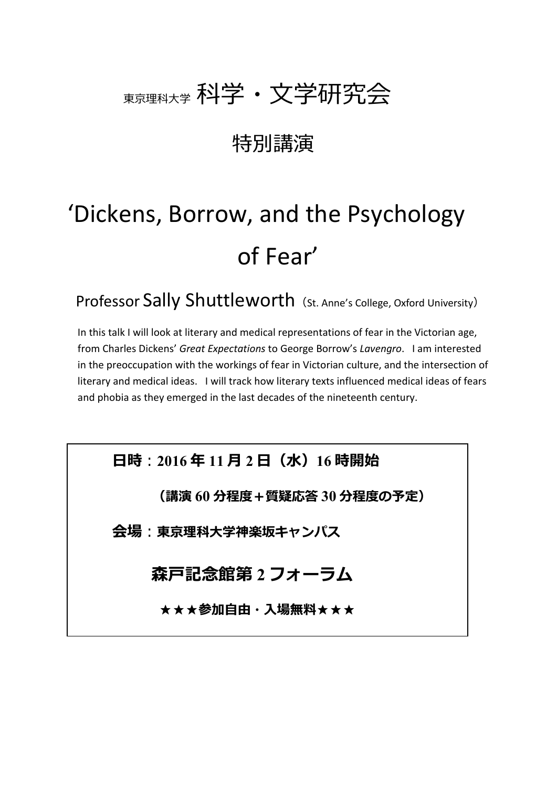# 東京理科大学 科学・文学研究会

## 特別講演

# 'Dickens, Borrow, and the Psychology of Fear'

Professor Sally Shuttleworth (St. Anne's College, Oxford University)

In this talk I will look at literary and medical representations of fear in the Victorian age, from Charles Dickens' *Great Expectations* to George Borrow's *Lavengro*. I am interested in the preoccupation with the workings of fear in Victorian culture, and the intersection of literary and medical ideas. I will track how literary texts influenced medical ideas of fears and phobia as they emerged in the last decades of the nineteenth century.

**日時**:**2016 年 11 月 2 日(水)16 時開始**

**(講演 60 分程度+質疑応答 30 分程度の予定)**

**会場**:**東京理科大学神楽坂キャンパス**

## **森戸記念館第 2 フォーラム**

★★★**参加自由・入場無料**★★★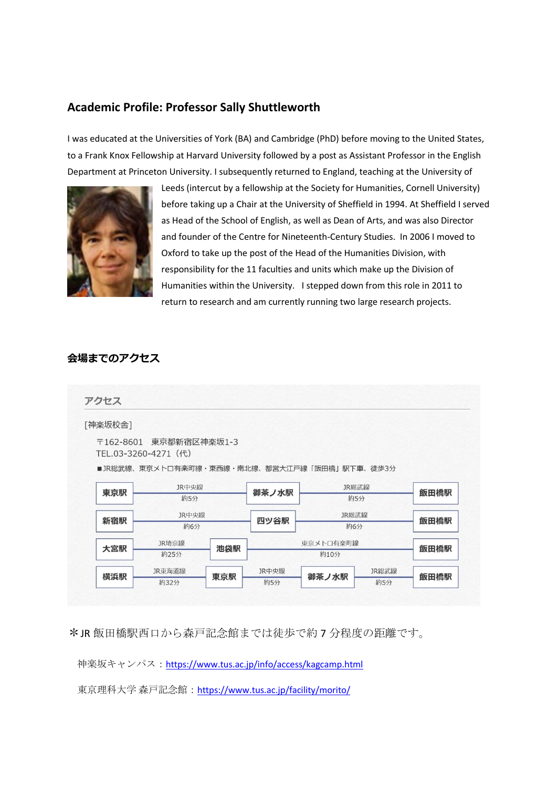### **Academic Profile: Professor Sally Shuttleworth**

I was educated at the Universities of York (BA) and Cambridge (PhD) before moving to the United States, to a Frank Knox Fellowship at Harvard University followed by a post as Assistant Professor in the English Department at Princeton University. I subsequently returned to England, teaching at the University of



Leeds (intercut by a fellowship at the Society for Humanities, Cornell University) before taking up a Chair at the University of Sheffield in 1994. At Sheffield I served as Head of the School of English, as well as Dean of Arts, and was also Director and founder of the Centre for Nineteenth-Century Studies. In 2006 I moved to Oxford to take up the post of the Head of the Humanities Division, with responsibility for the 11 faculties and units which make up the Division of Humanities within the University. I stepped down from this role in 2011 to return to research and am currently running two large research projects.

#### **会場までのアクセス**

アクセス

[神楽坂校舎]

〒162-8601 東京都新宿区神楽坂1-3 TEL.03-3260-4271 (代)

■JR総武線、東京メトロ有楽町線・東西線・南北線、都営大江戸線「飯田橋」駅下車、徒歩3分

| 東京駅 | JR中央線<br>約5分   |     | 御茶ノ水駅             |              | JR総武線<br>約5分 |      |
|-----|----------------|-----|-------------------|--------------|--------------|------|
| 新宿駅 | JR中央線<br>約6分   |     | 四ツ谷駅              | JR総武線<br>約6分 |              | 飯田橋駅 |
| 大宮駅 | JR埼京線<br>約25分  | 池袋駅 | 東京メトロ有楽町線<br>約10分 |              |              | 飯田橋駅 |
| 横浜駅 | JR東海道線<br>約32分 | 東京駅 | JR中央線<br>約5分      | 御茶ノ水駅        | JR総武線<br>約5分 | 飯田橋駅 |

\*JR 飯田橋駅西口から森戸記念館までは徒歩で約 7 分程度の距離です。

神楽坂キャンパス:<https://www.tus.ac.jp/info/access/kagcamp.html>

東京理科大学 森戸記念館:<https://www.tus.ac.jp/facility/morito/>